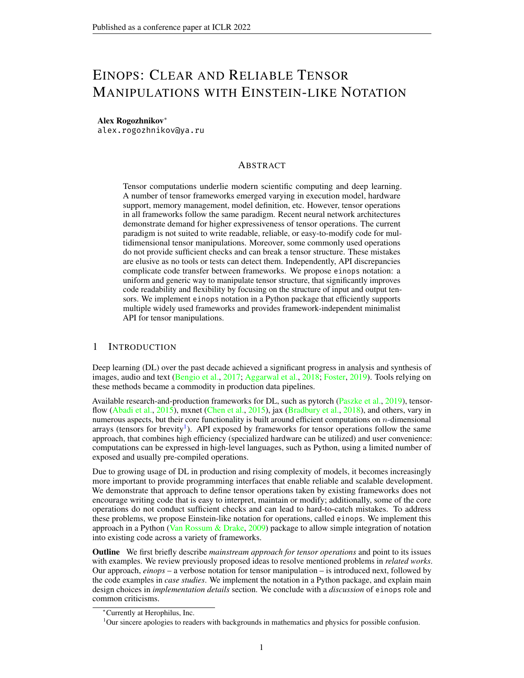# EINOPS: CLEAR AND RELIABLE TENSOR MANIPULATIONS WITH EINSTEIN-LIKE NOTATION

#### Alex Rogozhnikov<sup>∗</sup>

alex.rogozhnikov@ya.ru

## ABSTRACT

Tensor computations underlie modern scientific computing and deep learning. A number of tensor frameworks emerged varying in execution model, hardware support, memory management, model definition, etc. However, tensor operations in all frameworks follow the same paradigm. Recent neural network architectures demonstrate demand for higher expressiveness of tensor operations. The current paradigm is not suited to write readable, reliable, or easy-to-modify code for multidimensional tensor manipulations. Moreover, some commonly used operations do not provide sufficient checks and can break a tensor structure. These mistakes are elusive as no tools or tests can detect them. Independently, API discrepancies complicate code transfer between frameworks. We propose einops notation: a uniform and generic way to manipulate tensor structure, that significantly improves code readability and flexibility by focusing on the structure of input and output tensors. We implement einops notation in a Python package that efficiently supports multiple widely used frameworks and provides framework-independent minimalist API for tensor manipulations.

## 1 INTRODUCTION

Deep learning (DL) over the past decade achieved a significant progress in analysis and synthesis of images, audio and text [\(Bengio et al.,](#page-9-0) [2017;](#page-9-0) [Aggarwal et al.,](#page-9-1) [2018;](#page-9-1) [Foster,](#page-9-2) [2019\)](#page-9-2). Tools relying on these methods became a commodity in production data pipelines.

Available research-and-production frameworks for DL, such as pytorch [\(Paszke et al.,](#page-10-0) [2019\)](#page-10-0), tensor-flow [\(Abadi et al.,](#page-9-3) [2015\)](#page-9-4), mxnet [\(Chen et al.,](#page-9-4) 2015), jax [\(Bradbury et al.,](#page-9-5) [2018\)](#page-9-5), and others, vary in numerous aspects, but their core functionality is built around efficient computations on  $n$ -dimensional arrays (tensors for brevity<sup>[1](#page-0-0)</sup>). API exposed by frameworks for tensor operations follow the same approach, that combines high efficiency (specialized hardware can be utilized) and user convenience: computations can be expressed in high-level languages, such as Python, using a limited number of exposed and usually pre-compiled operations.

Due to growing usage of DL in production and rising complexity of models, it becomes increasingly more important to provide programming interfaces that enable reliable and scalable development. We demonstrate that approach to define tensor operations taken by existing frameworks does not encourage writing code that is easy to interpret, maintain or modify; additionally, some of the core operations do not conduct sufficient checks and can lead to hard-to-catch mistakes. To address these problems, we propose Einstein-like notation for operations, called einops. We implement this approach in a Python (Van Rossum  $\&$  Drake, [2009\)](#page-11-0) package to allow simple integration of notation into existing code across a variety of frameworks.

Outline We first briefly describe *mainstream approach for tensor operations* and point to its issues with examples. We review previously proposed ideas to resolve mentioned problems in *related works*. Our approach, *einops* – a verbose notation for tensor manipulation – is introduced next, followed by the code examples in *case studies*. We implement the notation in a Python package, and explain main design choices in *implementation details* section. We conclude with a *discussion* of einops role and common criticisms.

<sup>∗</sup>Currently at Herophilus, Inc.

<span id="page-0-0"></span><sup>&</sup>lt;sup>1</sup>Our sincere apologies to readers with backgrounds in mathematics and physics for possible confusion.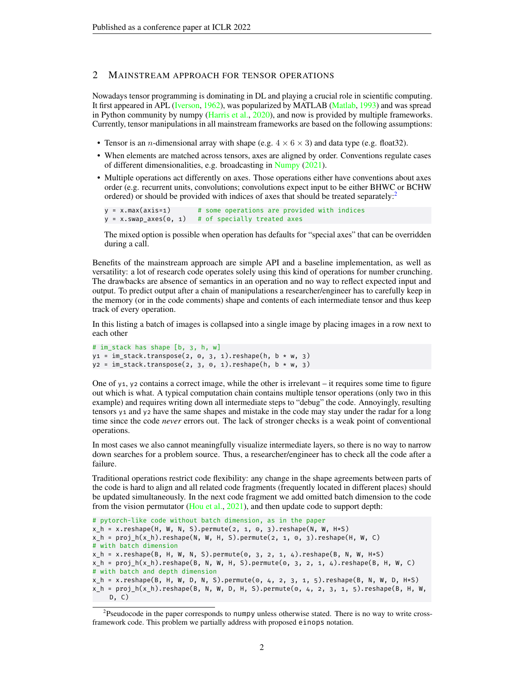## <span id="page-1-1"></span>2 MAINSTREAM APPROACH FOR TENSOR OPERATIONS

Nowadays tensor programming is dominating in DL and playing a crucial role in scientific computing. It first appeared in APL [\(Iverson,](#page-10-1) [1962\)](#page-10-1), was popularized by MATLAB [\(Matlab,](#page-10-2) [1993\)](#page-10-2) and was spread in Python community by numpy [\(Harris et al.,](#page-9-6) [2020\)](#page-9-6), and now is provided by multiple frameworks. Currently, tensor manipulations in all mainstream frameworks are based on the following assumptions:

- Tensor is an *n*-dimensional array with shape (e.g.  $4 \times 6 \times 3$ ) and data type (e.g. float 32).
- When elements are matched across tensors, axes are aligned by order. Conventions regulate cases of different dimensionalities, e.g. broadcasting in [Numpy](#page-10-3) [\(2021\)](#page-10-3).
- Multiple operations act differently on axes. Those operations either have conventions about axes order (e.g. recurrent units, convolutions; convolutions expect input to be either BHWC or BCHW ordered) or should be provided with indices of axes that should be treated separately:<sup>[2](#page-1-0)</sup>

```
y = x.max(axis=1) # some operations are provided with indices
y = x. swap_axes(\theta, 1) # of specially treated axes
```
The mixed option is possible when operation has defaults for "special axes" that can be overridden during a call.

Benefits of the mainstream approach are simple API and a baseline implementation, as well as versatility: a lot of research code operates solely using this kind of operations for number crunching. The drawbacks are absence of semantics in an operation and no way to reflect expected input and output. To predict output after a chain of manipulations a researcher/engineer has to carefully keep in the memory (or in the code comments) shape and contents of each intermediate tensor and thus keep track of every operation.

In this listing a batch of images is collapsed into a single image by placing images in a row next to each other

```
# im_stack has shape [b, 3, h, w]
y1 = im\_stack.transpose(2, 0, 3, 1).reshape(h, b * w, 3)yz = im_stack.transpose(2, 3, 0, 1).reshape(h, b * w, 3)
```
One of y<sub>1</sub>, y<sub>2</sub> contains a correct image, while the other is irrelevant – it requires some time to figure out which is what. A typical computation chain contains multiple tensor operations (only two in this example) and requires writing down all intermediate steps to "debug" the code. Annoyingly, resulting tensors y1 and y2 have the same shapes and mistake in the code may stay under the radar for a long time since the code *never* errors out. The lack of stronger checks is a weak point of conventional operations.

In most cases we also cannot meaningfully visualize intermediate layers, so there is no way to narrow down searches for a problem source. Thus, a researcher/engineer has to check all the code after a failure.

Traditional operations restrict code flexibility: any change in the shape agreements between parts of the code is hard to align and all related code fragments (frequently located in different places) should be updated simultaneously. In the next code fragment we add omitted batch dimension to the code from the vision permutator [\(Hou et al.,](#page-10-4) [2021\)](#page-10-4), and then update code to support depth:

```
# pytorch-like code without batch dimension, as in the paper
x_h = x.reshape(H, W, N, S).permute(2, 1, 0, 3).reshape(N, W, H*S)
x_h = \text{proj}_h(x_h).reshape(N, W, H, S).permute(2, 1, 0, 3).reshape(H, W, C)
# with batch dimension
x_h = x.reshape(B, H, W, N, S).permute(0, 3, 2, 1, 4).reshape(B, N, W, H*S)
x_h = \text{proj}_h(x_h).reshape(B, N, W, H, S).permute(0, 3, 2, 1, 4).reshape(B, H, W, C)
# with batch and depth dimension
x_h = x.reshape(B, H, W, D, N, S).permute(0, 4, 2, 3, 1, 5).reshape(B, N, W, D, H*S)
x_h = proj_h(x_h).reshape(B, N, W, D, H, S).permute(0, 4, 2, 3, 1, 5).reshape(B, H, W,
    D, C)
```
<span id="page-1-0"></span><sup>&</sup>lt;sup>2</sup>Pseudocode in the paper corresponds to numpy unless otherwise stated. There is no way to write crossframework code. This problem we partially address with proposed einops notation.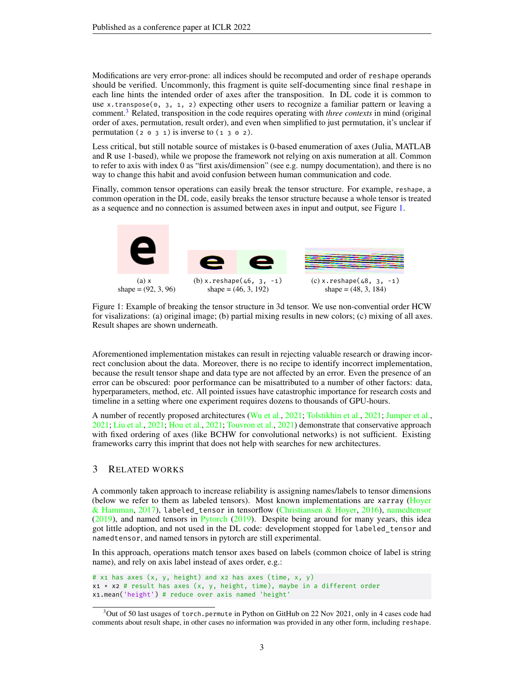Modifications are very error-prone: all indices should be recomputed and order of reshape operands should be verified. Uncommonly, this fragment is quite self-documenting since final reshape in each line hints the intended order of axes after the transposition. In DL code it is common to use x.transpose $(0, 3, 1, 2)$  expecting other users to recognize a familiar pattern or leaving a comment.[3](#page-2-0) Related, transposition in the code requires operating with *three contexts* in mind (original order of axes, permutation, result order), and even when simplified to just permutation, it's unclear if permutation ( $2 \circ 3 \circ 1$ ) is inverse to ( $1 \circ 3 \circ 2$ ).

Less critical, but still notable source of mistakes is 0-based enumeration of axes (Julia, MATLAB and R use 1-based), while we propose the framework not relying on axis numeration at all. Common to refer to axis with index 0 as "first axis/dimension" (see e.g. numpy documentation), and there is no way to change this habit and avoid confusion between human communication and code.

Finally, common tensor operations can easily break the tensor structure. For example, reshape, a common operation in the DL code, easily breaks the tensor structure because a whole tensor is treated as a sequence and no connection is assumed between axes in input and output, see Figure [1.](#page-2-1)

<span id="page-2-1"></span>

Figure 1: Example of breaking the tensor structure in 3d tensor. We use non-convential order HCW for visalizations: (a) original image; (b) partial mixing results in new colors; (c) mixing of all axes. Result shapes are shown underneath.

Aforementioned implementation mistakes can result in rejecting valuable research or drawing incorrect conclusion about the data. Moreover, there is no recipe to identify incorrect implementation, because the result tensor shape and data type are not affected by an error. Even the presence of an error can be obscured: poor performance can be misattributed to a number of other factors: data, hyperparameters, method, etc. All pointed issues have catastrophic importance for research costs and timeline in a setting where one experiment requires dozens to thousands of GPU-hours.

A number of recently proposed architectures [\(Wu et al.,](#page-11-1) [2021;](#page-11-1) [Tolstikhin et al.,](#page-11-2) [2021;](#page-11-2) [Jumper et al.,](#page-10-5) [2021;](#page-10-5) [Liu et al.,](#page-10-6) [2021;](#page-10-6) [Hou et al.,](#page-10-4) [2021;](#page-10-4) [Touvron et al.,](#page-11-3) [2021\)](#page-11-3) demonstrate that conservative approach with fixed ordering of axes (like BCHW for convolutional networks) is not sufficient. Existing frameworks carry this imprint that does not help with searches for new architectures.

#### 3 RELATED WORKS

A commonly taken approach to increase reliability is assigning names/labels to tensor dimensions (below we refer to them as labeled tensors). Most known implementations are xarray [\(Hoyer](#page-10-7) [& Hamman,](#page-10-7) [2017\)](#page-10-7), labeled\_tensor in tensorflow [\(Christiansen & Hoyer,](#page-9-7) [2016\)](#page-9-7), [namedtensor](#page-10-8) [\(2019\)](#page-10-8), and named tensors in [Pytorch](#page-10-9) [\(2019\)](#page-10-9). Despite being around for many years, this idea got little adoption, and not used in the DL code: development stopped for labeled\_tensor and namedtensor, and named tensors in pytorch are still experimental.

In this approach, operations match tensor axes based on labels (common choice of label is string name), and rely on axis label instead of axes order, e.g.:

```
# x1 has axes (x, y, height) and x2 has axes (time, x, y)
x1 + x2 # result has axes (x, y, height, time), maybe in a different order
x1.mean('height') # reduce over axis named 'height'
```
<span id="page-2-0"></span><sup>3</sup>Out of 50 last usages of torch.permute in Python on GitHub on 22 Nov 2021, only in 4 cases code had comments about result shape, in other cases no information was provided in any other form, including reshape.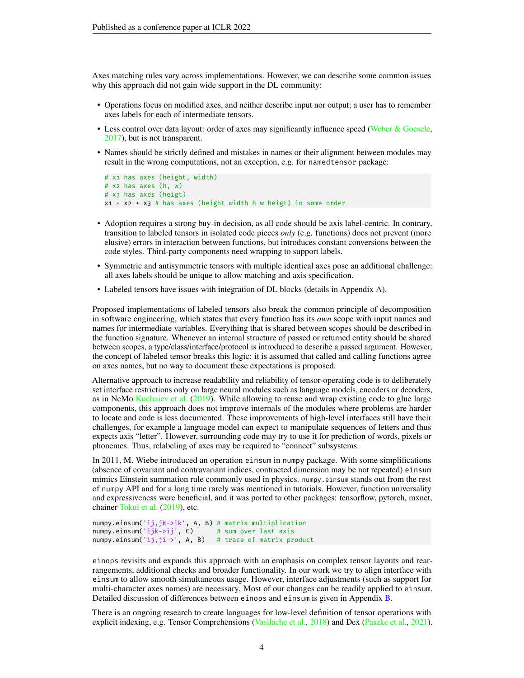Axes matching rules vary across implementations. However, we can describe some common issues why this approach did not gain wide support in the DL community:

- Operations focus on modified axes, and neither describe input nor output; a user has to remember axes labels for each of intermediate tensors.
- Less control over data layout: order of axes may significantly influence speed [\(Weber & Goesele,](#page-11-4) [2017\)](#page-11-4), but is not transparent.
- Names should be strictly defined and mistakes in names or their alignment between modules may result in the wrong computations, not an exception, e.g. for namedtensor package:

```
# x1 has axes (height, width)
# x2 has axes (h, w)
# x3 has axes (heigt)
x1 + x2 + x3 # has axes (height width h w heigt) in some order
```
- Adoption requires a strong buy-in decision, as all code should be axis label-centric. In contrary, transition to labeled tensors in isolated code pieces *only* (e.g. functions) does not prevent (more elusive) errors in interaction between functions, but introduces constant conversions between the code styles. Third-party components need wrapping to support labels.
- Symmetric and antisymmetric tensors with multiple identical axes pose an additional challenge: all axes labels should be unique to allow matching and axis specification.
- Labeled tensors have issues with integration of DL blocks (details in Appendix [A\)](#page-12-0).

Proposed implementations of labeled tensors also break the common principle of decomposition in software engineering, which states that every function has its *own* scope with input names and names for intermediate variables. Everything that is shared between scopes should be described in the function signature. Whenever an internal structure of passed or returned entity should be shared between scopes, a type/class/interface/protocol is introduced to describe a passed argument. However, the concept of labeled tensor breaks this logic: it is assumed that called and calling functions agree on axes names, but no way to document these expectations is proposed.

Alternative approach to increase readability and reliability of tensor-operating code is to deliberately set interface restrictions only on large neural modules such as language models, encoders or decoders, as in NeMo [Kuchaiev et al.](#page-10-10) [\(2019\)](#page-10-10). While allowing to reuse and wrap existing code to glue large components, this approach does not improve internals of the modules where problems are harder to locate and code is less documented. These improvements of high-level interfaces still have their challenges, for example a language model can expect to manipulate sequences of letters and thus expects axis "letter". However, surrounding code may try to use it for prediction of words, pixels or phonemes. Thus, relabeling of axes may be required to "connect" subsystems.

In 2011, M. Wiebe introduced an operation einsum in numpy package. With some simplifications (absence of covariant and contravariant indices, contracted dimension may be not repeated) einsum mimics Einstein summation rule commonly used in physics. numpy.einsum stands out from the rest of numpy API and for a long time rarely was mentioned in tutorials. However, function universality and expressiveness were beneficial, and it was ported to other packages: tensorflow, pytorch, mxnet, chainer [Tokui et al.](#page-11-5) [\(2019\)](#page-11-5), etc.

```
numpy.einsum('ij,jk->ik', A, B) # matrix multiplication
numpy.einsum('ijk->ij', C) # sum over last axis
numpy.einsum('ij,ji->', A, B) # trace of matrix product
```
einops revisits and expands this approach with an emphasis on complex tensor layouts and rearrangements, additional checks and broader functionality. In our work we try to align interface with einsum to allow smooth simultaneous usage. However, interface adjustments (such as support for multi-character axes names) are necessary. Most of our changes can be readily applied to einsum. Detailed discussion of differences between einops and einsum is given in Appendix [B.](#page-12-1)

There is an ongoing research to create languages for low-level definition of tensor operations with explicit indexing, e.g. Tensor Comprehensions [\(Vasilache et al.,](#page-11-6) [2018\)](#page-11-6) and Dex [\(Paszke et al.,](#page-10-11) [2021\)](#page-10-11).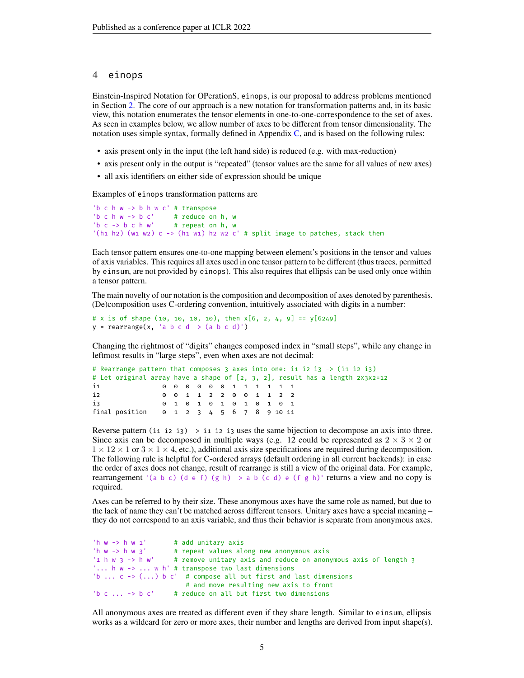## <span id="page-4-0"></span>4 einops

Einstein-Inspired Notation for OPerationS, einops, is our proposal to address problems mentioned in Section [2.](#page-1-1) The core of our approach is a new notation for transformation patterns and, in its basic view, this notation enumerates the tensor elements in one-to-one-correspondence to the set of axes. As seen in examples below, we allow number of axes to be different from tensor dimensionality. The notation uses simple syntax, formally defined in Appendix  $C$ , and is based on the following rules:

- axis present only in the input (the left hand side) is reduced (e.g. with max-reduction)
- axis present only in the output is "repeated" (tensor values are the same for all values of new axes)
- all axis identifiers on either side of expression should be unique

Examples of einops transformation patterns are

```
'b c h w -> b h w c' # transpose
'b c h w -> b c' # reduce on h, w<br>'b c -> b c h w' # repeat on h, w
                        # repeat on h, w
'(h1 h2) (w1 w2) c -> (h1 w1) h2 w2 c' # split image to patches, stack them
```
Each tensor pattern ensures one-to-one mapping between element's positions in the tensor and values of axis variables. This requires all axes used in one tensor pattern to be different (thus traces, permitted by einsum, are not provided by einops). This also requires that ellipsis can be used only once within a tensor pattern.

The main novelty of our notation is the composition and decomposition of axes denoted by parenthesis. (De)composition uses C-ordering convention, intuitively associated with digits in a number:

```
# x is of shape (10, 10, 10, 10), then x[6, 2, 4, 9] == y[6249]y = rearrange(x, 'a b c d -> (a b c d)')
```
Changing the rightmost of "digits" changes composed index in "small steps", while any change in leftmost results in "large steps", even when axes are not decimal:

```
# Rearrange pattern that composes 3 axes into one: i1 i2 i3 -> (i1 i2 i3)
# Let original array have a shape of [2, 3, 2], result has a length 2x3x2=12
i1 0 0 0 0 0 0 1 1 1 1 1 1
i2 0 0 1 1 2 2 0 0 1 1 2 2
i3 0 1 0 1 0 1 0 1 0 1 0 1
final position 0 1 2 3 4 5 6 7 8 9 10 11
```
Reverse pattern (i1 i2 i3) -> i1 i2 i3 uses the same bijection to decompose an axis into three. Since axis can be decomposed in multiple ways (e.g. 12 could be represented as  $2 \times 3 \times 2$  or  $1 \times 12 \times 1$  or  $3 \times 1 \times 4$ , etc.), additional axis size specifications are required during decomposition. The following rule is helpful for C-ordered arrays (default ordering in all current backends): in case the order of axes does not change, result of rearrange is still a view of the original data. For example, rearrangement '(a b c) (d e f) (g h) -> a b (c d) e (f g h)' returns a view and no copy is required.

Axes can be referred to by their size. These anonymous axes have the same role as named, but due to the lack of name they can't be matched across different tensors. Unitary axes have a special meaning – they do not correspond to an axis variable, and thus their behavior is separate from anonymous axes.

```
'h w \rightarrow h w 1' # add unitary axis
'h w -> h w 3' # repeat values along new anonymous axis
                    # remove unitary axis and reduce on anonymous axis of length 3
'... h w -> ... w h' # transpose two last dimensions
'b ... c \rightarrow (...) b c' # compose all but first and last dimensions
                        # and move resulting new axis to front
'b c \ldots -> b c' # reduce on all but first two dimensions
```
All anonymous axes are treated as different even if they share length. Similar to einsum, ellipsis works as a wildcard for zero or more axes, their number and lengths are derived from input shape(s).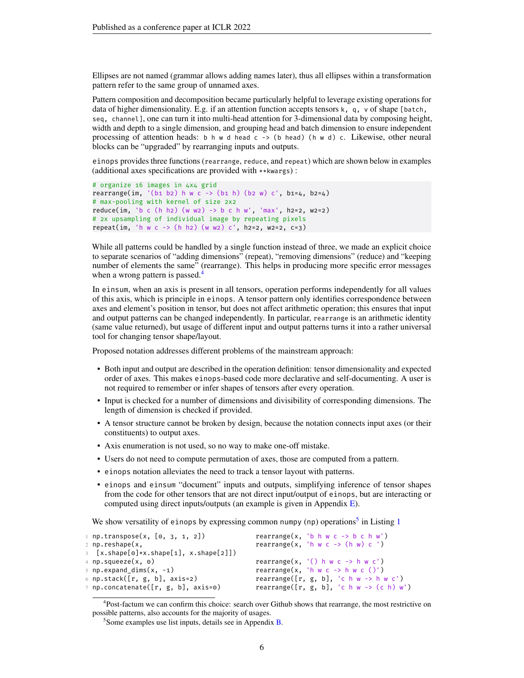Ellipses are not named (grammar allows adding names later), thus all ellipses within a transformation pattern refer to the same group of unnamed axes.

Pattern composition and decomposition became particularly helpful to leverage existing operations for data of higher dimensionality. E.g. if an attention function accepts tensors k, q, v of shape [batch, seq, channel], one can turn it into multi-head attention for 3-dimensional data by composing height, width and depth to a single dimension, and grouping head and batch dimension to ensure independent processing of attention heads: b h w d head c  $\rightarrow$  (b head) (h w d) c. Likewise, other neural blocks can be "upgraded" by rearranging inputs and outputs.

einops provides three functions (rearrange, reduce, and repeat) which are shown below in examples (additional axes specifications are provided with \*\*kwargs) :

```
# organize 16 images in 4x4 grid
rearrange(im, '(b1 b2) h w c \rightarrow (b1 h) (b2 w) c', b1=4, b2=4)
# max-pooling with kernel of size 2x2
reduce(im, 'b c (h h2) (w w2) -> b c h w', 'max', h2=2, w2=2)
# 2x upsampling of individual image by repeating pixels
repeat(im, 'h w c -> (h h2) (w w2) c', h2=2, w2=2, c=3)
```
While all patterns could be handled by a single function instead of three, we made an explicit choice to separate scenarios of "adding dimensions" (repeat), "removing dimensions" (reduce) and "keeping number of elements the same" (rearrange). This helps in producing more specific error messages when a wrong pattern is passed.<sup>[4](#page-5-0)</sup>

In einsum, when an axis is present in all tensors, operation performs independently for all values of this axis, which is principle in einops. A tensor pattern only identifies correspondence between axes and element's position in tensor, but does not affect arithmetic operation; this ensures that input and output patterns can be changed independently. In particular, rearrange is an arithmetic identity (same value returned), but usage of different input and output patterns turns it into a rather universal tool for changing tensor shape/layout.

Proposed notation addresses different problems of the mainstream approach:

- Both input and output are described in the operation definition: tensor dimensionality and expected order of axes. This makes einops-based code more declarative and self-documenting. A user is not required to remember or infer shapes of tensors after every operation.
- Input is checked for a number of dimensions and divisibility of corresponding dimensions. The length of dimension is checked if provided.
- A tensor structure cannot be broken by design, because the notation connects input axes (or their constituents) to output axes.
- Axis enumeration is not used, so no way to make one-off mistake.
- Users do not need to compute permutation of axes, those are computed from a pattern.
- einops notation alleviates the need to track a tensor layout with patterns.
- einops and einsum "document" inputs and outputs, simplifying inference of tensor shapes from the code for other tensors that are not direct input/output of einops, but are interacting or computed using direct inputs/outputs (an example is given in Appendix [E\)](#page-15-0).

We show versatility of einops by expressing common numpy (np) operations<sup>[5](#page-5-1)</sup> in Listing  $1$ 

<span id="page-5-2"></span>

| $1$ np.transpose(x, [0, 3, 1, 2])      | rearrange(x, 'b h w c $\rightarrow$ b c h w') |  |
|----------------------------------------|-----------------------------------------------|--|
| $2$ np.reshape(x,                      | rearrange(x, 'h $w c \rightarrow (h w) c'$ )  |  |
| 3 [x.shape[0]*x.shape[1], x.shape[2]]) |                                               |  |
| 4 np.squeeze(x, 0)                     | rearrange(x, $'($ ) h w c -> h w c')          |  |
| $5$ np.expand dims(x, -1)              | rearrange(x, 'h $w c \rightarrow h w c$ ()')  |  |
| 6 np.stack([r, g, b], axis=2)          | rearrange( $[r, g, b]$ , 'c h w -> h w c')    |  |
| 7 np.concatenate([r, g, b], axis=0)    | rearrange( $[r, g, b]$ , 'c h w -> (c h) w')  |  |
|                                        |                                               |  |

<span id="page-5-0"></span><sup>&</sup>lt;sup>4</sup>Post-factum we can confirm this choice: search over Github shows that rearrange, the most restrictive on possible patterns, also accounts for the majority of usages.

<span id="page-5-1"></span><sup>&</sup>lt;sup>5</sup> Some examples use list inputs, details see in Appendix [B.](#page-12-1)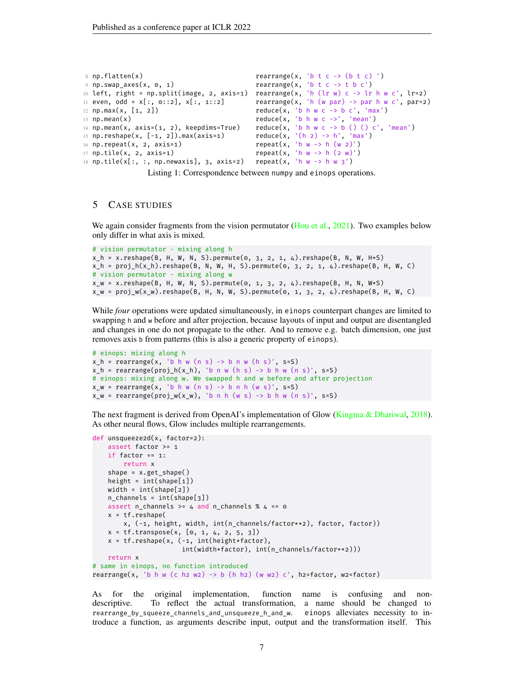```
8 np.flatten(x) \qquad \qquad rearrange(x, 'b t c -> (b t c) ')
9 np.swap_axes(x, 0, 1) rearrange(x, 'b t c -> t b c')
10 left, right = np.split(image, 2, axis=1) rearrange(x, 'h (lr w) c -> lr h w c', lr=2)<br>11 even, odd = x[:, 0::2], x[:, 1::2] rearrange(x, 'h (w par) -> par h w c', par=2
                                           rearrange(x, 'h (w par) \rightarrow par h w c', par=2)12 np.max(x, [1, 2]) reduce(x, 'b h w c -> b c', 'max')
13 np.mean(x) reduce(x, 'b h w c ->', 'mean')
14 np.mean(x, axis=(1, 2), keepdims=True) reduce(x, 'b h w c -> b () () c', 'mean')
15 np.reshape(x, [-1, 2]).max(axis=1)
16 np.\texttt{repeat}(x, 2, axis=1) repeat(x, 'h w -> h (w 2)')
17 np.tile(x, 2, axis=1) repeat(x, 'h w -> h (2 w)')
18 np.tile(x[:, :, np.newaxis], 3, axis=2)
```
Listing 1: Correspondence between numpy and einops operations.

## 5 CASE STUDIES

We again consider fragments from the vision permutator [\(Hou et al.,](#page-10-4) [2021\)](#page-10-4). Two examples below only differ in what axis is mixed.

```
# vision permutator - mixing along h
x_h = x.\text{reshape}(B, H, W, N, S).\text{permute}(0, 3, 2, 1, 4).\text{reshape}(B, N, W, H*S)x_h = \text{proj}_h(x_h).reshape(B, N, W, H, S).permute(0, 3, 2, 1, 4).reshape(B, H, W, C)# vision permutator - mixing along w
x_w = x.reshape(B, H, W, N, S).permute(0, 1, 3, 2, 4).reshape(B, H, N, W*S)
x_w = proj_w(x_w).reshape(B, H, N, W, S).permute(0, 1, 3, 2, 4).reshape(B, H, W, C)
```
While *four* operations were updated simultaneously, in einops counterpart changes are limited to swapping h and w before and after projection, because layouts of input and output are disentangled and changes in one do not propagate to the other. And to remove e.g. batch dimension, one just removes axis b from patterns (this is also a generic property of einops).

```
# einops: mixing along h
x_h = rearrange(x, 'b h w (n s) -> b n w (h s)', s=S)
x_h = \text{rearrange}(\text{proj}_h(x_h), \text{ b } n \le (h \le s) \to b \le (h \le s), s=S)
# einops: mixing along w. We swapped h and w before and after projection
x_w = \text{rearrange}(x, 'b h w (n s) \rightarrow b n h (w s)', s=S)x_w = \text{rearrange}(\text{proj}_w(x_w), 'b \text{ n h} (w s) \rightarrow b \text{ h w} (n s)', s=S)
```
The next fragment is derived from OpenAI's implementation of Glow [\(Kingma & Dhariwal,](#page-10-12) [2018\)](#page-10-12). As other neural flows, Glow includes multiple rearrangements.

```
def unsqueeze2d(x, factor=2):
   assert factor >= 1
   if factor == 1:
       return x
   shape = x.get shape()height = int(shape[1])
   width = int(shape[2])n_channels = int(shape[3])
   assert n_channels >= 4 and n_channels % 4 == 0
   x = tf.reshape(x, (-1, height, width, int(n_channels/factor**2), factor, factor))
   x = tf.transpose(x, [0, 1, 4, 2, 5, 3])x = tf.reshape(x, (-1, int(height*factor)),int(width*factor), int(n_channels/factor**2)))
   return x
# same in einops, no function introduced
rearrange(x, 'b h w (c h2 w2) -> b (h h2) (w w2) c', h2=factor, w2=factor)
```
As for the original implementation, function name is confusing and nondescriptive. To reflect the actual transformation, a name should be changed to rearrange\_by\_squeeze\_channels\_and\_unsqueeze\_h\_and\_w. einops alleviates necessity to introduce a function, as arguments describe input, output and the transformation itself. This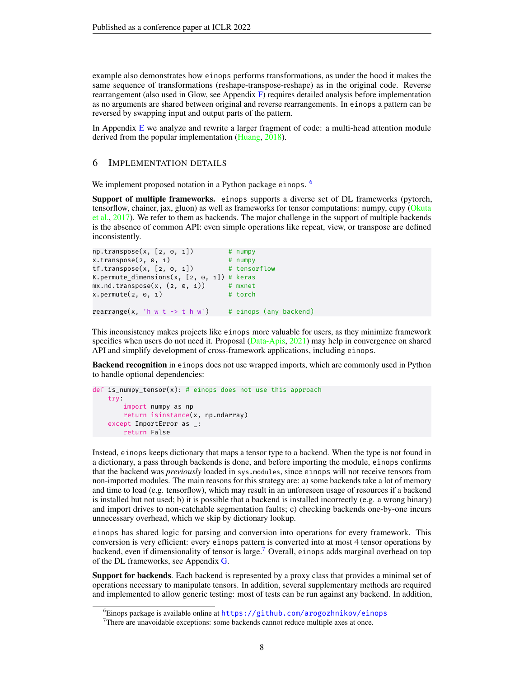example also demonstrates how einops performs transformations, as under the hood it makes the same sequence of transformations (reshape-transpose-reshape) as in the original code. Reverse rearrangement (also used in Glow, see Appendix  $\bf{F}$ ) requires detailed analysis before implementation as no arguments are shared between original and reverse rearrangements. In einops a pattern can be reversed by swapping input and output parts of the pattern.

In Appendix [E](#page-15-0) we analyze and rewrite a larger fragment of code: a multi-head attention module derived from the popular implementation [\(Huang,](#page-10-13) [2018\)](#page-10-13).

#### 6 IMPLEMENTATION DETAILS

We implement proposed notation in a Python package einops. <sup>[6](#page-7-0)</sup>

Support of multiple frameworks. einops supports a diverse set of DL frameworks (pytorch, tensorflow, chainer, jax, gluon) as well as frameworks for tensor computations: numpy, cupy [\(Okuta](#page-10-14) [et al.,](#page-10-14) [2017\)](#page-10-14). We refer to them as backends. The major challenge in the support of multiple backends is the absence of common API: even simple operations like repeat, view, or transpose are defined inconsistently.

```
np.transpose(x, [2, 0, 1]) # numpy
x.transpose(2, 0, 1) # numpy
tf. transpose(x, [2, 0, 1]) # tensorflow
K.permute_dimensions(x, [2, \theta, 1]) # keras
mx.pdf.transpose(x, (2, 0, 1)) # mxnet
x.permute(2, 0, 1) # torch
rearrange(x, 'h w t -> t h w') # einops (any backend)
```
This inconsistency makes projects like einops more valuable for users, as they minimize framework specifics when users do not need it. Proposal [\(Data-Apis,](#page-9-8) [2021\)](#page-9-8) may help in convergence on shared API and simplify development of cross-framework applications, including einops.

**Backend recognition** in einops does not use wrapped imports, which are commonly used in Python to handle optional dependencies:

```
def is_numpy_tensor(x): # einops does not use this approach
   try:
        import numpy as np
        return isinstance(x, np.ndarray)
    except ImportError as _:
       return False
```
Instead, einops keeps dictionary that maps a tensor type to a backend. When the type is not found in a dictionary, a pass through backends is done, and before importing the module, einops confirms that the backend was *previously* loaded in sys.modules, since einops will not receive tensors from non-imported modules. The main reasons for this strategy are: a) some backends take a lot of memory and time to load (e.g. tensorflow), which may result in an unforeseen usage of resources if a backend is installed but not used; b) it is possible that a backend is installed incorrectly (e.g. a wrong binary) and import drives to non-catchable segmentation faults; c) checking backends one-by-one incurs unnecessary overhead, which we skip by dictionary lookup.

einops has shared logic for parsing and conversion into operations for every framework. This conversion is very efficient: every einops pattern is converted into at most 4 tensor operations by backend, even if dimensionality of tensor is large.<sup>[7](#page-7-1)</sup> Overall, einops adds marginal overhead on top of the DL frameworks, see Appendix [G.](#page-17-1)

Support for backends. Each backend is represented by a proxy class that provides a minimal set of operations necessary to manipulate tensors. In addition, several supplementary methods are required and implemented to allow generic testing: most of tests can be run against any backend. In addition,

<span id="page-7-0"></span><sup>&</sup>lt;sup>6</sup>Einops package is available online at <https://github.com/arogozhnikov/einops>

<span id="page-7-1"></span> $7$ There are unavoidable exceptions: some backends cannot reduce multiple axes at once.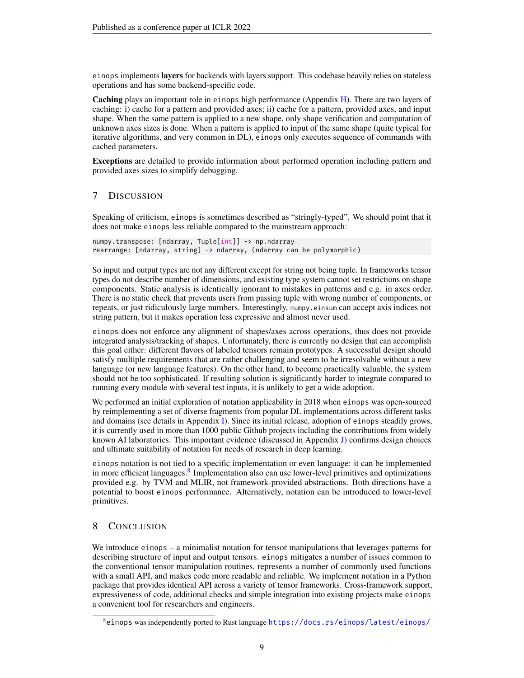einops implements layers for backends with layers support. This codebase heavily relies on stateless operations and has some backend-specific code.

Caching plays an important role in einops high performance (Appendix [H\)](#page-18-0). There are two layers of caching: i) cache for a pattern and provided axes; ii) cache for a pattern, provided axes, and input shape. When the same pattern is applied to a new shape, only shape verification and computation of unknown axes sizes is done. When a pattern is applied to input of the same shape (quite typical for iterative algorithms, and very common in DL), einops only executes sequence of commands with cached parameters.

Exceptions are detailed to provide information about performed operation including pattern and provided axes sizes to simplify debugging.

# 7 DISCUSSION

Speaking of criticism, einops is sometimes described as "stringly-typed". We should point that it does not make einops less reliable compared to the mainstream approach:

```
numpy.transpose: [ndarray, Tuple[int]] -> np.ndarray
rearrange: [ndarray, string] -> ndarray, (ndarray can be polymorphic)
```
So input and output types are not any different except for string not being tuple. In frameworks tensor types do not describe number of dimensions, and existing type system cannot set restrictions on shape components. Static analysis is identically ignorant to mistakes in patterns and e.g. in axes order. There is no static check that prevents users from passing tuple with wrong number of components, or repeats, or just ridiculously large numbers. Interestingly, numpy.einsum can accept axis indices not string pattern, but it makes operation less expressive and almost never used.

einops does not enforce any alignment of shapes/axes across operations, thus does not provide integrated analysis/tracking of shapes. Unfortunately, there is currently no design that can accomplish this goal either: different flavors of labeled tensors remain prototypes. A successful design should satisfy multiple requirements that are rather challenging and seem to be irresolvable without a new language (or new language features). On the other hand, to become practically valuable, the system should not be too sophisticated. If resulting solution is significantly harder to integrate compared to running every module with several test inputs, it is unlikely to get a wide adoption.

We performed an initial exploration of notation applicability in 2018 when einops was open-sourced by reimplementing a set of diverse fragments from popular DL implementations across different tasks and domains (see details in Appendix [I\)](#page-19-0). Since its initial release, adoption of einops steadily grows, it is currently used in more than 1000 public Github projects including the contributions from widely known AI laboratories. This important evidence (discussed in Appendix [J\)](#page-20-0) confirms design choices and ultimate suitability of notation for needs of research in deep learning.

einops notation is not tied to a specific implementation or even language: it can be implemented in more efficient languages.<sup>[8](#page-8-0)</sup> Implementation also can use lower-level primitives and optimizations provided e.g. by TVM and MLIR, not framework-provided abstractions. Both directions have a potential to boost einops performance. Alternatively, notation can be introduced to lower-level primitives.

# 8 CONCLUSION

We introduce einops – a minimalist notation for tensor manipulations that leverages patterns for describing structure of input and output tensors. einops mitigates a number of issues common to the conventional tensor manipulation routines, represents a number of commonly used functions with a small API, and makes code more readable and reliable. We implement notation in a Python package that provides identical API across a variety of tensor frameworks. Cross-framework support, expressiveness of code, additional checks and simple integration into existing projects make einops a convenient tool for researchers and engineers.

<span id="page-8-0"></span><sup>8</sup>einops was independently ported to Rust language <https://docs.rs/einops/latest/einops/>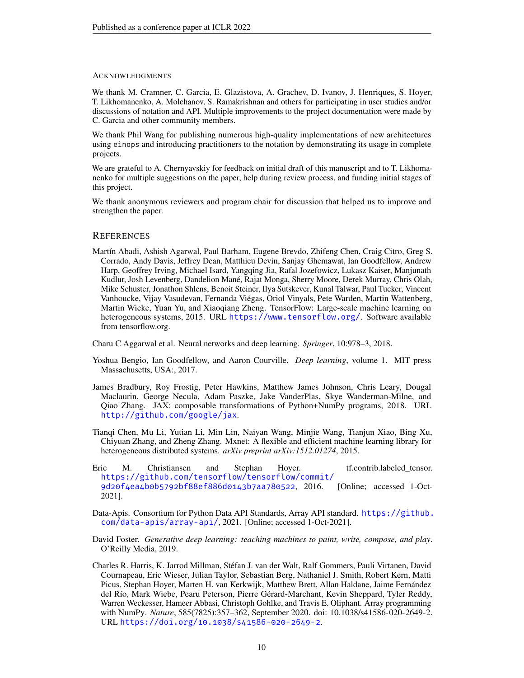#### ACKNOWLEDGMENTS

We thank M. Cramner, C. Garcia, E. Glazistova, A. Grachev, D. Ivanov, J. Henriques, S. Hoyer, T. Likhomanenko, A. Molchanov, S. Ramakrishnan and others for participating in user studies and/or discussions of notation and API. Multiple improvements to the project documentation were made by C. Garcia and other community members.

We thank Phil Wang for publishing numerous high-quality implementations of new architectures using einops and introducing practitioners to the notation by demonstrating its usage in complete projects.

We are grateful to A. Chernyavskiy for feedback on initial draft of this manuscript and to T. Likhomanenko for multiple suggestions on the paper, help during review process, and funding initial stages of this project.

We thank anonymous reviewers and program chair for discussion that helped us to improve and strengthen the paper.

#### **REFERENCES**

<span id="page-9-3"></span>Martín Abadi, Ashish Agarwal, Paul Barham, Eugene Brevdo, Zhifeng Chen, Craig Citro, Greg S. Corrado, Andy Davis, Jeffrey Dean, Matthieu Devin, Sanjay Ghemawat, Ian Goodfellow, Andrew Harp, Geoffrey Irving, Michael Isard, Yangqing Jia, Rafal Jozefowicz, Lukasz Kaiser, Manjunath Kudlur, Josh Levenberg, Dandelion Mané, Rajat Monga, Sherry Moore, Derek Murray, Chris Olah, Mike Schuster, Jonathon Shlens, Benoit Steiner, Ilya Sutskever, Kunal Talwar, Paul Tucker, Vincent Vanhoucke, Vijay Vasudevan, Fernanda Viégas, Oriol Vinyals, Pete Warden, Martin Wattenberg, Martin Wicke, Yuan Yu, and Xiaoqiang Zheng. TensorFlow: Large-scale machine learning on heterogeneous systems, 2015. URL <https://www.tensorflow.org/>. Software available from tensorflow.org.

<span id="page-9-1"></span>Charu C Aggarwal et al. Neural networks and deep learning. *Springer*, 10:978–3, 2018.

- <span id="page-9-0"></span>Yoshua Bengio, Ian Goodfellow, and Aaron Courville. *Deep learning*, volume 1. MIT press Massachusetts, USA:, 2017.
- <span id="page-9-5"></span>James Bradbury, Roy Frostig, Peter Hawkins, Matthew James Johnson, Chris Leary, Dougal Maclaurin, George Necula, Adam Paszke, Jake VanderPlas, Skye Wanderman-Milne, and Qiao Zhang. JAX: composable transformations of Python+NumPy programs, 2018. URL <http://github.com/google/jax>.
- <span id="page-9-4"></span>Tianqi Chen, Mu Li, Yutian Li, Min Lin, Naiyan Wang, Minjie Wang, Tianjun Xiao, Bing Xu, Chiyuan Zhang, and Zheng Zhang. Mxnet: A flexible and efficient machine learning library for heterogeneous distributed systems. *arXiv preprint arXiv:1512.01274*, 2015.
- <span id="page-9-7"></span>Eric M. Christiansen and Stephan Hoyer. tf.contrib.labeled tensor. [https://github.com/tensorflow/tensorflow/commit/](https://github.com/tensorflow/tensorflow/commit/9d20f4ea4b0b5792bf88ef886d0143b7aa780522) [9d20f4ea4b0b5792bf88ef886d0143b7aa780522](https://github.com/tensorflow/tensorflow/commit/9d20f4ea4b0b5792bf88ef886d0143b7aa780522), 2016. [Online; accessed 1-Oct-2021].
- <span id="page-9-8"></span>Data-Apis. Consortium for Python Data API Standards, Array API standard. [https://github.](https://github.com/data-apis/array-api/) [com/data-apis/array-api/](https://github.com/data-apis/array-api/), 2021. [Online; accessed 1-Oct-2021].
- <span id="page-9-2"></span>David Foster. *Generative deep learning: teaching machines to paint, write, compose, and play*. O'Reilly Media, 2019.
- <span id="page-9-6"></span>Charles R. Harris, K. Jarrod Millman, Stéfan J. van der Walt, Ralf Gommers, Pauli Virtanen, David Cournapeau, Eric Wieser, Julian Taylor, Sebastian Berg, Nathaniel J. Smith, Robert Kern, Matti Picus, Stephan Hoyer, Marten H. van Kerkwijk, Matthew Brett, Allan Haldane, Jaime Fernández del Río, Mark Wiebe, Pearu Peterson, Pierre Gérard-Marchant, Kevin Sheppard, Tyler Reddy, Warren Weckesser, Hameer Abbasi, Christoph Gohlke, and Travis E. Oliphant. Array programming with NumPy. *Nature*, 585(7825):357–362, September 2020. doi: 10.1038/s41586-020-2649-2. URL <https://doi.org/10.1038/s41586-020-2649-2>.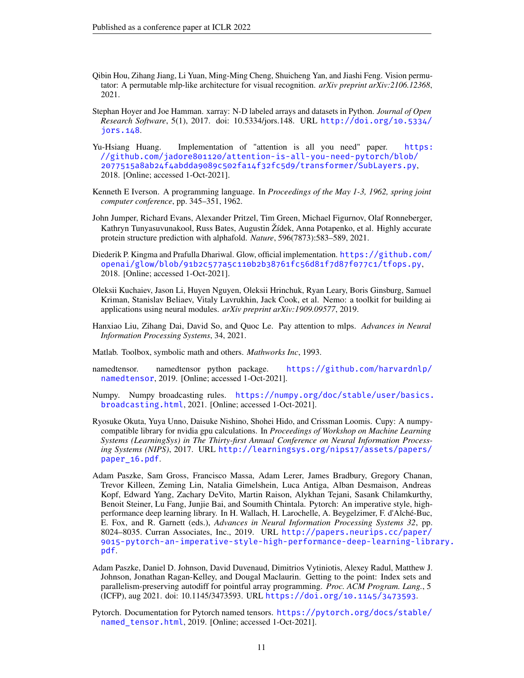- <span id="page-10-4"></span>Qibin Hou, Zihang Jiang, Li Yuan, Ming-Ming Cheng, Shuicheng Yan, and Jiashi Feng. Vision permutator: A permutable mlp-like architecture for visual recognition. *arXiv preprint arXiv:2106.12368*, 2021.
- <span id="page-10-7"></span>Stephan Hoyer and Joe Hamman. xarray: N-D labeled arrays and datasets in Python. *Journal of Open Research Software*, 5(1), 2017. doi: 10.5334/jors.148. URL [http://doi.org/10.5334/](http://doi.org/10.5334/jors.148) [jors.148](http://doi.org/10.5334/jors.148).
- <span id="page-10-13"></span>Yu-Hsiang Huang. Implementation of "attention is all you need" paper. [https:](https://github.com/jadore801120/attention-is-all-you-need-pytorch/blob/2077515a8ab24f4abdda9089c502fa14f32fc5d9/transformer/SubLayers.py) [//github.com/jadore801120/attention-is-all-you-need-pytorch/blob/](https://github.com/jadore801120/attention-is-all-you-need-pytorch/blob/2077515a8ab24f4abdda9089c502fa14f32fc5d9/transformer/SubLayers.py) [2077515a8ab24f4abdda9089c502fa14f32fc5d9/transformer/SubLayers.py](https://github.com/jadore801120/attention-is-all-you-need-pytorch/blob/2077515a8ab24f4abdda9089c502fa14f32fc5d9/transformer/SubLayers.py), 2018. [Online; accessed 1-Oct-2021].
- <span id="page-10-1"></span>Kenneth E Iverson. A programming language. In *Proceedings of the May 1-3, 1962, spring joint computer conference*, pp. 345–351, 1962.
- <span id="page-10-5"></span>John Jumper, Richard Evans, Alexander Pritzel, Tim Green, Michael Figurnov, Olaf Ronneberger, Kathryn Tunyasuvunakool, Russ Bates, Augustin Žídek, Anna Potapenko, et al. Highly accurate protein structure prediction with alphafold. *Nature*, 596(7873):583–589, 2021.
- <span id="page-10-12"></span>Diederik P. Kingma and Prafulla Dhariwal. Glow, official implementation. [https://github.com/](https://github.com/openai/glow/blob/91b2c577a5c110b2b38761fc56d81f7d87f077c1/tfops.py) [openai/glow/blob/91b2c577a5c110b2b38761fc56d81f7d87f077c1/tfops.py](https://github.com/openai/glow/blob/91b2c577a5c110b2b38761fc56d81f7d87f077c1/tfops.py), 2018. [Online; accessed 1-Oct-2021].
- <span id="page-10-10"></span>Oleksii Kuchaiev, Jason Li, Huyen Nguyen, Oleksii Hrinchuk, Ryan Leary, Boris Ginsburg, Samuel Kriman, Stanislav Beliaev, Vitaly Lavrukhin, Jack Cook, et al. Nemo: a toolkit for building ai applications using neural modules. *arXiv preprint arXiv:1909.09577*, 2019.
- <span id="page-10-6"></span>Hanxiao Liu, Zihang Dai, David So, and Quoc Le. Pay attention to mlps. *Advances in Neural Information Processing Systems*, 34, 2021.
- <span id="page-10-2"></span>Matlab. Toolbox, symbolic math and others. *Mathworks Inc*, 1993.
- <span id="page-10-8"></span>namedtensor. namedtensor python package. [https://github.com/harvardnlp/](https://github.com/harvardnlp/namedtensor) [namedtensor](https://github.com/harvardnlp/namedtensor), 2019. [Online; accessed 1-Oct-2021].
- <span id="page-10-3"></span>Numpy. Numpy broadcasting rules. [https://numpy.org/doc/stable/user/basics.](https://numpy.org/doc/stable/user/basics.broadcasting.html) [broadcasting.html](https://numpy.org/doc/stable/user/basics.broadcasting.html), 2021. [Online; accessed 1-Oct-2021].
- <span id="page-10-14"></span>Ryosuke Okuta, Yuya Unno, Daisuke Nishino, Shohei Hido, and Crissman Loomis. Cupy: A numpycompatible library for nvidia gpu calculations. In *Proceedings of Workshop on Machine Learning Systems (LearningSys) in The Thirty-first Annual Conference on Neural Information Processing Systems (NIPS)*, 2017. URL [http://learningsys.org/nips17/assets/papers/](http://learningsys.org/nips17/assets/papers/paper_16.pdf) [paper\\_16.pdf](http://learningsys.org/nips17/assets/papers/paper_16.pdf).
- <span id="page-10-0"></span>Adam Paszke, Sam Gross, Francisco Massa, Adam Lerer, James Bradbury, Gregory Chanan, Trevor Killeen, Zeming Lin, Natalia Gimelshein, Luca Antiga, Alban Desmaison, Andreas Kopf, Edward Yang, Zachary DeVito, Martin Raison, Alykhan Tejani, Sasank Chilamkurthy, Benoit Steiner, Lu Fang, Junjie Bai, and Soumith Chintala. Pytorch: An imperative style, highperformance deep learning library. In H. Wallach, H. Larochelle, A. Beygelzimer, F. d'Alché-Buc, E. Fox, and R. Garnett (eds.), *Advances in Neural Information Processing Systems 32*, pp. 8024–8035. Curran Associates, Inc., 2019. URL [http://papers.neurips.cc/paper/](http://papers.neurips.cc/paper/9015-pytorch-an-imperative-style-high-performance-deep-learning-library.pdf) [9015-pytorch-an-imperative-style-high-performance-deep-learning-libr](http://papers.neurips.cc/paper/9015-pytorch-an-imperative-style-high-performance-deep-learning-library.pdf)ary. [pdf](http://papers.neurips.cc/paper/9015-pytorch-an-imperative-style-high-performance-deep-learning-library.pdf).
- <span id="page-10-11"></span>Adam Paszke, Daniel D. Johnson, David Duvenaud, Dimitrios Vytiniotis, Alexey Radul, Matthew J. Johnson, Jonathan Ragan-Kelley, and Dougal Maclaurin. Getting to the point: Index sets and parallelism-preserving autodiff for pointful array programming. *Proc. ACM Program. Lang.*, 5 (ICFP), aug 2021. doi: 10.1145/3473593. URL <https://doi.org/10.1145/3473593>.
- <span id="page-10-9"></span>Pytorch. Documentation for Pytorch named tensors. [https://pytorch.org/docs/stable/](https://pytorch.org/docs/stable/named_tensor.html) [named\\_tensor.html](https://pytorch.org/docs/stable/named_tensor.html), 2019. [Online; accessed 1-Oct-2021].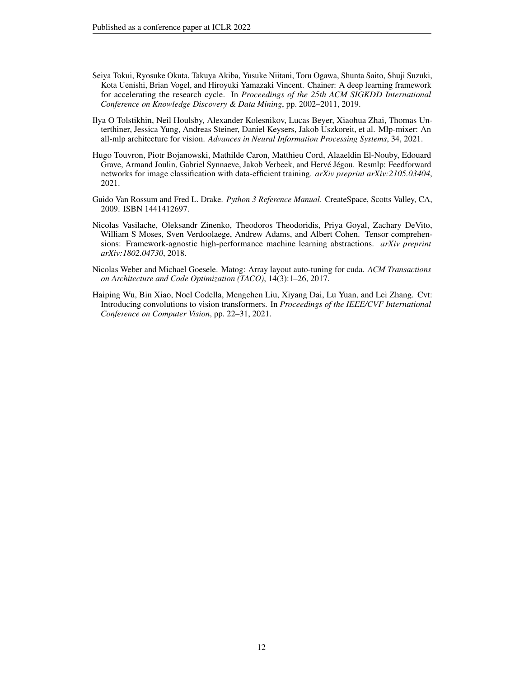- <span id="page-11-5"></span>Seiya Tokui, Ryosuke Okuta, Takuya Akiba, Yusuke Niitani, Toru Ogawa, Shunta Saito, Shuji Suzuki, Kota Uenishi, Brian Vogel, and Hiroyuki Yamazaki Vincent. Chainer: A deep learning framework for accelerating the research cycle. In *Proceedings of the 25th ACM SIGKDD International Conference on Knowledge Discovery & Data Mining*, pp. 2002–2011, 2019.
- <span id="page-11-2"></span>Ilya O Tolstikhin, Neil Houlsby, Alexander Kolesnikov, Lucas Beyer, Xiaohua Zhai, Thomas Unterthiner, Jessica Yung, Andreas Steiner, Daniel Keysers, Jakob Uszkoreit, et al. Mlp-mixer: An all-mlp architecture for vision. *Advances in Neural Information Processing Systems*, 34, 2021.
- <span id="page-11-3"></span>Hugo Touvron, Piotr Bojanowski, Mathilde Caron, Matthieu Cord, Alaaeldin El-Nouby, Edouard Grave, Armand Joulin, Gabriel Synnaeve, Jakob Verbeek, and Hervé Jégou. Resmlp: Feedforward networks for image classification with data-efficient training. *arXiv preprint arXiv:2105.03404*, 2021.
- <span id="page-11-0"></span>Guido Van Rossum and Fred L. Drake. *Python 3 Reference Manual*. CreateSpace, Scotts Valley, CA, 2009. ISBN 1441412697.
- <span id="page-11-6"></span>Nicolas Vasilache, Oleksandr Zinenko, Theodoros Theodoridis, Priya Goyal, Zachary DeVito, William S Moses, Sven Verdoolaege, Andrew Adams, and Albert Cohen. Tensor comprehensions: Framework-agnostic high-performance machine learning abstractions. *arXiv preprint arXiv:1802.04730*, 2018.
- <span id="page-11-4"></span>Nicolas Weber and Michael Goesele. Matog: Array layout auto-tuning for cuda. *ACM Transactions on Architecture and Code Optimization (TACO)*, 14(3):1–26, 2017.
- <span id="page-11-1"></span>Haiping Wu, Bin Xiao, Noel Codella, Mengchen Liu, Xiyang Dai, Lu Yuan, and Lei Zhang. Cvt: Introducing convolutions to vision transformers. In *Proceedings of the IEEE/CVF International Conference on Computer Vision*, pp. 22–31, 2021.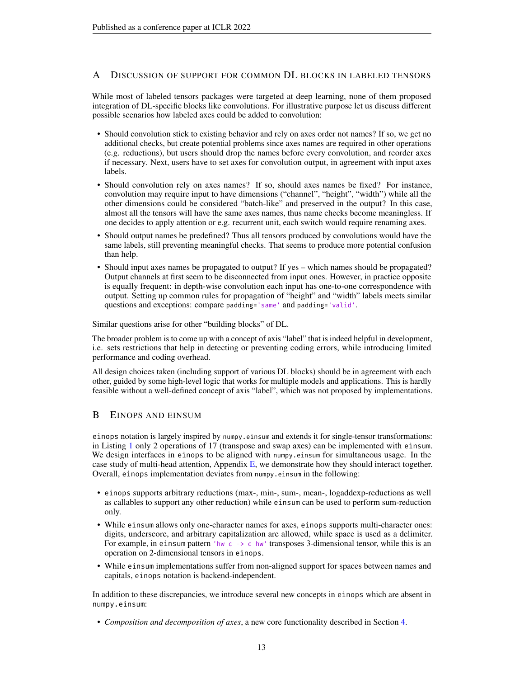# <span id="page-12-0"></span>A DISCUSSION OF SUPPORT FOR COMMON DL BLOCKS IN LABELED TENSORS

While most of labeled tensors packages were targeted at deep learning, none of them proposed integration of DL-specific blocks like convolutions. For illustrative purpose let us discuss different possible scenarios how labeled axes could be added to convolution:

- Should convolution stick to existing behavior and rely on axes order not names? If so, we get no additional checks, but create potential problems since axes names are required in other operations (e.g. reductions), but users should drop the names before every convolution, and reorder axes if necessary. Next, users have to set axes for convolution output, in agreement with input axes labels.
- Should convolution rely on axes names? If so, should axes names be fixed? For instance, convolution may require input to have dimensions ("channel", "height", "width") while all the other dimensions could be considered "batch-like" and preserved in the output? In this case, almost all the tensors will have the same axes names, thus name checks become meaningless. If one decides to apply attention or e.g. recurrent unit, each switch would require renaming axes.
- Should output names be predefined? Thus all tensors produced by convolutions would have the same labels, still preventing meaningful checks. That seems to produce more potential confusion than help.
- Should input axes names be propagated to output? If yes which names should be propagated? Output channels at first seem to be disconnected from input ones. However, in practice opposite is equally frequent: in depth-wise convolution each input has one-to-one correspondence with output. Setting up common rules for propagation of "height" and "width" labels meets similar questions and exceptions: compare padding='same' and padding='valid'.

Similar questions arise for other "building blocks" of DL.

The broader problem is to come up with a concept of axis "label" that is indeed helpful in development, i.e. sets restrictions that help in detecting or preventing coding errors, while introducing limited performance and coding overhead.

All design choices taken (including support of various DL blocks) should be in agreement with each other, guided by some high-level logic that works for multiple models and applications. This is hardly feasible without a well-defined concept of axis "label", which was not proposed by implementations.

## <span id="page-12-1"></span>B EINOPS AND EINSUM

einops notation is largely inspired by numpy.einsum and extends it for single-tensor transformations: in Listing [1](#page-5-2) only 2 operations of 17 (transpose and swap axes) can be implemented with einsum. We design interfaces in einops to be aligned with numpy.einsum for simultaneous usage. In the case study of multi-head attention, Appendix  $E$ , we demonstrate how they should interact together. Overall, einops implementation deviates from numpy.einsum in the following:

- einops supports arbitrary reductions (max-, min-, sum-, mean-, logaddexp-reductions as well as callables to support any other reduction) while einsum can be used to perform sum-reduction only.
- While einsum allows only one-character names for axes, einops supports multi-character ones: digits, underscore, and arbitrary capitalization are allowed, while space is used as a delimiter. For example, in einsum pattern 'hw c  $\rightarrow$  c hw' transposes 3-dimensional tensor, while this is an operation on 2-dimensional tensors in einops.
- While einsum implementations suffer from non-aligned support for spaces between names and capitals, einops notation is backend-independent.

In addition to these discrepancies, we introduce several new concepts in einops which are absent in numpy.einsum:

• *Composition and decomposition of axes*, a new core functionality described in Section [4.](#page-4-0)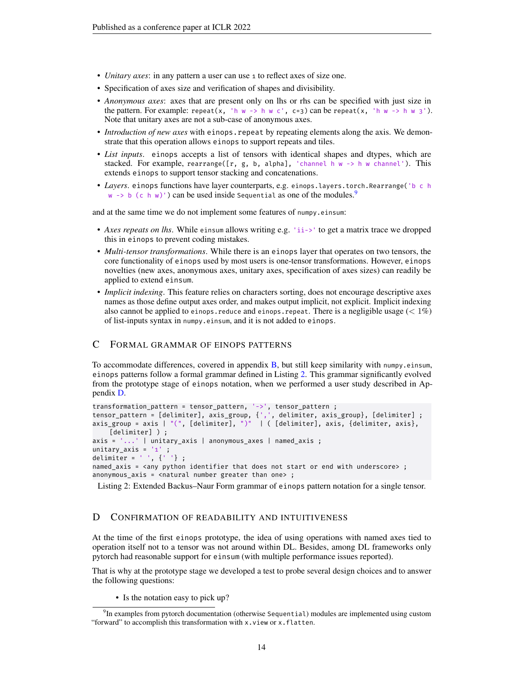- *Unitary axes*: in any pattern a user can use 1 to reflect axes of size one.
- Specification of axes size and verification of shapes and divisibility.
- *Anonymous axes*: axes that are present only on lhs or rhs can be specified with just size in the pattern. For example: repeat(x, 'h w -> h w c', c=3) can be repeat(x, 'h w -> h w 3'). Note that unitary axes are not a sub-case of anonymous axes.
- *Introduction of new axes* with einops.repeat by repeating elements along the axis. We demonstrate that this operation allows einops to support repeats and tiles.
- *List inputs*. einops accepts a list of tensors with identical shapes and dtypes, which are stacked. For example, rearrange([r, g, b, alpha], 'channel h w -> h w channel'). This extends einops to support tensor stacking and concatenations.
- *Layers*. einops functions have layer counterparts, e.g. einops.layers.torch.Rearrange('b c h w  $\rightarrow$  b (c h w)') can be used inside Sequential as one of the modules.<sup>[9](#page-13-1)</sup>

and at the same time we do not implement some features of numpy.einsum:

- *Axes repeats on lhs*. While einsum allows writing e.g. 'ii->' to get a matrix trace we dropped this in einops to prevent coding mistakes.
- *Multi-tensor transformations*. While there is an einops layer that operates on two tensors, the core functionality of einops used by most users is one-tensor transformations. However, einops novelties (new axes, anonymous axes, unitary axes, specification of axes sizes) can readily be applied to extend einsum.
- *Implicit indexing*. This feature relies on characters sorting, does not encourage descriptive axes names as those define output axes order, and makes output implicit, not explicit. Implicit indexing also cannot be applied to einops.reduce and einops.repeat. There is a negligible usage  $(< 1\%)$ of list-inputs syntax in numpy.einsum, and it is not added to einops.

## <span id="page-13-0"></span>C FORMAL GRAMMAR OF EINOPS PATTERNS

To accommodate differences, covered in appendix  $B$ , but still keep similarity with numpy.einsum, einops patterns follow a formal grammar defined in Listing [2.](#page-13-2) This grammar significantly evolved from the prototype stage of einops notation, when we performed a user study described in Appendix [D.](#page-13-3)

```
transformation_pattern = tensor_pattern, '->', tensor_pattern ;
tensor_pattern = [delimiter], axis_group, {',', delimiter, axis_group}, [delimiter] ;
axis_group = axis | "(", [delimiter], ")" | ( [delimiter], axis, {delimiter, axis},
    [delimiter] ) ;
axis = '...' | unitary axis | anonymous axes | named axis ;
unitary_axis = '1' ;
delimiter = ' ', {' '} ;
named_axis = <any python identifier that does not start or end with underscore> ;
anonymous_axis = <natural number greater than one> ;
```
Listing 2: Extended Backus–Naur Form grammar of einops pattern notation for a single tensor.

## <span id="page-13-3"></span>D CONFIRMATION OF READABILITY AND INTUITIVENESS

At the time of the first einops prototype, the idea of using operations with named axes tied to operation itself not to a tensor was not around within DL. Besides, among DL frameworks only pytorch had reasonable support for einsum (with multiple performance issues reported).

That is why at the prototype stage we developed a test to probe several design choices and to answer the following questions:

• Is the notation easy to pick up?

<span id="page-13-1"></span> $^{9}$ In examples from pytorch documentation (otherwise Sequential) modules are implemented using custom "forward" to accomplish this transformation with x.view or x.flatten.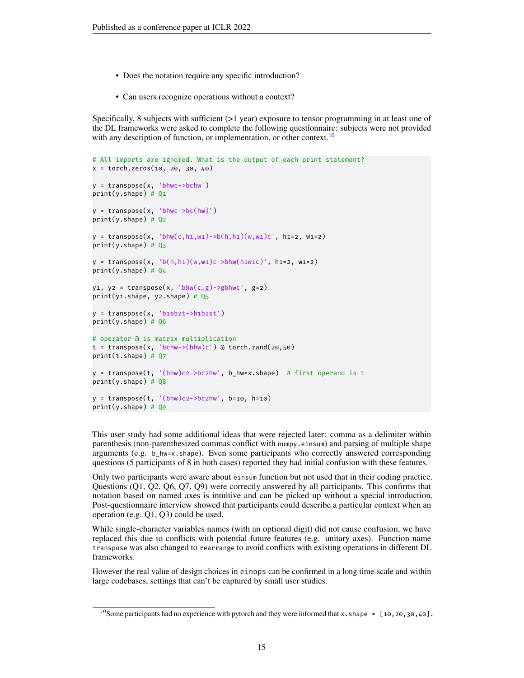- Does the notation require any specific introduction?
- Can users recognize operations without a context?

Specifically, 8 subjects with sufficient (>1 year) exposure to tensor programming in at least one of the DL frameworks were asked to complete the following questionnaire: subjects were not provided with any description of function, or implementation, or other context.<sup>[10](#page-14-0)</sup>

```
# All imports are ignored. What is the output of each print statement?
x = torch.zeros(10, 20, 30, 40)
y = transpose(x, 'bhwc->bchw')
print(y.shape) # Q1
y = \text{transpose}(x, 'bhwc -> bc(hw)')print(v.\text{shape}) # Q2
y = \text{transpose}(x, 'bhw(c, h1, w1) - b(h, h1)(w, w1)c', h1=2, w1=2)print(y.shape) # Q3
y = \text{transpose}(x, 'b(h, h_1)(w, w_1)c - \text{bbhw}(h_1w_1c)', h1=2, w1=2)
print(y.shape) # Q4
y1, y2 = transpose(x, 'bhw(c,g)->gbhwc', g=2)
print(y1.shape, y2.shape) # Q5
y = transpose(x, 'b1sb2t->b1b2st')
print(y.shape) # Q6
# operator @ is matrix multiplication
t = transpose(x, 'bchw->(bhw)c') @ torch.rand(20,50)
print(t.shape) # Q7
y = \text{transpose}(t, '(\text{bhw})c2-\text{b}c2\text{hw}', b\text{hw}=x.\text{shape}) # first operand is t
print(y.shape) # Q8
y = \text{transpose}(t, ' (bhw) c2 - \text{&} 2bhw', b=30, h=10)print(y.shape) # Q9
```
This user study had some additional ideas that were rejected later: comma as a delimiter within parenthesis (non-parenthesized commas conflict with numpy.einsum) and parsing of multiple shape arguments (e.g. b  $hw=x$ .shape). Even some participants who correctly answered corresponding questions (5 participants of 8 in both cases) reported they had initial confusion with these features.

Only two participants were aware about einsum function but not used that in their coding practice. Questions (Q1, Q2, Q6, Q7, Q9) were correctly answered by all participants. This confirms that notation based on named axes is intuitive and can be picked up without a special introduction. Post-questionnaire interview showed that participants could describe a particular context when an operation (e.g. Q1, Q3) could be used.

While single-character variables names (with an optional digit) did not cause confusion, we have replaced this due to conflicts with potential future features (e.g. unitary axes). Function name transpose was also changed to rearrange to avoid conflicts with existing operations in different DL frameworks.

However the real value of design choices in einops can be confirmed in a long time-scale and within large codebases, settings that can't be captured by small user studies.

<span id="page-14-0"></span><sup>&</sup>lt;sup>10</sup>Some participants had no experience with pytorch and they were informed that x.shape =  $[10, 20, 30, 40]$ .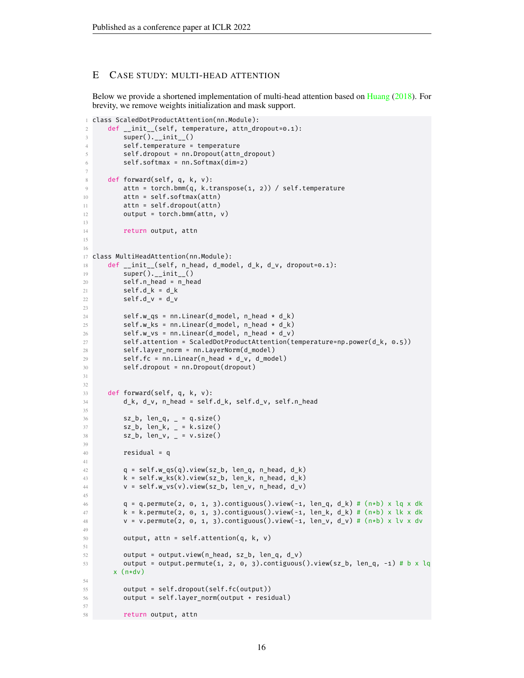## <span id="page-15-0"></span>E CASE STUDY: MULTI-HEAD ATTENTION

Below we provide a shortened implementation of multi-head attention based on [Huang](#page-10-13) [\(2018\)](#page-10-13). For brevity, we remove weights initialization and mask support.

```
1 class ScaledDotProductAttention(nn.Module):
2 def __init__(self, temperature, attn_dropout=0.1):
3 super().__init__()
4 self.temperature = temperature
5 self.dropout = nn.Dropout(attn_dropout)
6 self.softmax = nn.Softmax(dim=2)
7
8 def forward(self, q, k, v):
9 attn = torch.bmm(q, k.transpose(1, 2)) / self.temperature
10 attn = self.softmax(attn)
11 attn = self.dropout(attn)
12 output = torch.bmm(attn, v)
13
14 return output, attn
15
16
17 class MultiHeadAttention(nn.Module):
18 def __init__(self, n_head, d_model, d_k, d_v, dropout=0.1):
19 super(). __init__()
20 self.n_head = n_head
21 self.d_k = d_k
22 \text{self.d}_V = d_V23
24 self.w_qs = nn.Linear(d_model, n_head * d_k)
25 self.w_ks = nn.Linear(d_model, n-head * d_k)26 self.w_vs = nn.Linear(d_model, n_head * d_v)
27 self.attention = ScaledDotProductAttention(temperature=np.power(d_k, 0.5))
28 self.layer norm = nn.LayerNorm(d model)
29 self.fc = nn.Linear(n\_head * d_v, d_model)30 self.dropout = nn.Dropout(dropout)
31
32
33 def forward(self, q, k, v):
34 d_k, d_v, n_head = self.d_k, self.d_v, self.n_head
35
36 sz_b, len_q, _ = q.size()
37 sz_b, len_k, _ = k.size()
38 sz_b, len_v, _ = v.size()
39
40 residual = q
41
42 q = self.w_qs(q).view(sz_b, len_q, n_head, d_k)
43 k = self.w_ks(k).view(sz_b, len_k, n_head, d_k)
44 v = self.w_vs(v).view(sz_b, len_v, n_head, d_v)
45
46 q = q.permute(2, 0, 1, 3).contiguous().view(-1, len_q, d_k) # (n*b) x lq x dk
47 k = k.permute(2, 0, 1, 3).contiguous().view(-1, len_k, d_k) # (n*b) x lk x dk
48 v = v.permute(2, 0, 1, 3).contiguous().view(-1, len_v, d_v) # (n*b) x lv x dv
49
50 output, attn = self.attention(q, k, v)
51
52 output = output.view(n_head, sz_b, len_q, d_v)
53 output = output.permute(1, 2, 0, 3).contiguous().view(sz_b, len_q, -1) # b x lq
      x \left( n*dv \right)54
55 output = self.dropout(self.fc(output))
56 output = self.layer_norm(output + residual)
57
58 return output, attn
```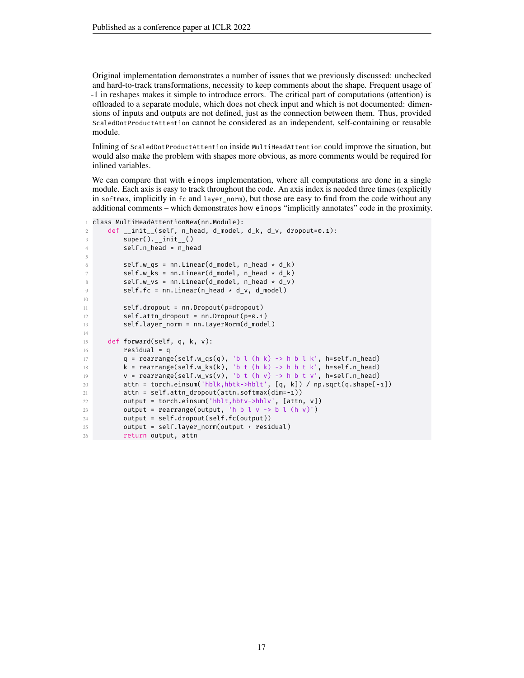Original implementation demonstrates a number of issues that we previously discussed: unchecked and hard-to-track transformations, necessity to keep comments about the shape. Frequent usage of -1 in reshapes makes it simple to introduce errors. The critical part of computations (attention) is offloaded to a separate module, which does not check input and which is not documented: dimensions of inputs and outputs are not defined, just as the connection between them. Thus, provided ScaledDotProductAttention cannot be considered as an independent, self-containing or reusable module.

Inlining of ScaledDotProductAttention inside MultiHeadAttention could improve the situation, but would also make the problem with shapes more obvious, as more comments would be required for inlined variables.

We can compare that with einops implementation, where all computations are done in a single module. Each axis is easy to track throughout the code. An axis index is needed three times (explicitly in softmax, implicitly in fc and layer\_norm), but those are easy to find from the code without any additional comments – which demonstrates how einops "implicitly annotates" code in the proximity.

```
1 class MultiHeadAttentionNew(nn.Module):
2 def __init__(self, n_head, d_model, d_k, d_v, dropout=0.1):
3 super().__init__()
4 self.n_head = n_head
5
6 self.w_qs = nn.Linear(d_model, n-head * d_k)7 self.w_ks = nn.Linear(d_model, n_head * d_k)
8 self.w_vs = nn.Linear(d_model, n_head * d_v)
9 self.fc = nn.Linear(n_head * d_v, d_model)
10
11 self.dropout = nn.Dropout(p=dropout)
12 self.attn_dropout = nn.Dropout(p=0.1)
13 self.layer_norm = nn.LayerNorm(d_model)
14
15 def forward(self, q, k, v):
16 residual = q
17 q = \text{rearrange}(\text{self.w}_q\text{q}(q), \text{ 'b l } (\text{h k}) \rightarrow \text{h b l k'}, \text{ h=self.n\_head})18 k = \text{rearrange}(\text{self.w\_ks}(k), \text{ 'b t } (h k) \text{ -> h b t k', h=self.n\_head})19 v = \text{rearrange}(\text{self.w\_vs}(v), 'b \text{ t} (h v) \rightarrow h b t v', h = \text{self.n\_head})20 attn = torch.einsum('hblk,hbtk->hblt', [q, k]) / np.sqrt(q.shape[-1])
21 attn = self.attn_dropout(attn.softmax(dim=-1))
22 output = torch.einsum('hblt,hbtv->hblv', [attn, v])
23 output = rearrange(output, 'h b l v -> b l (h v)')
24 output = self.dropout(self.fc(output))
25 output = self.layer_norm(output + residual)
26 return output, attn
```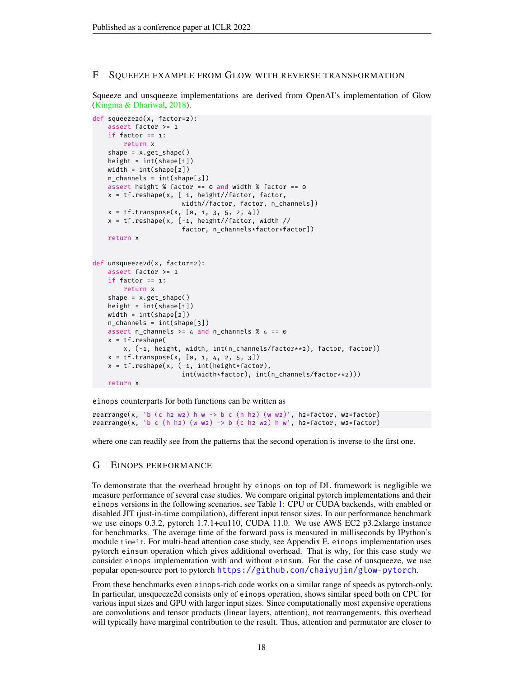## <span id="page-17-0"></span>F SQUEEZE EXAMPLE FROM GLOW WITH REVERSE TRANSFORMATION

Squeeze and unsqueeze implementations are derived from OpenAI's implementation of Glow [\(Kingma & Dhariwal,](#page-10-12) [2018\)](#page-10-12).

```
def squeeze2d(x, factor=2):
   assert factor >= 1
    if factor == 1:
       return x
    shape = x.get_shape()
   height = int(shape[1])width = int(shape[2])
   n_channels = int(shape[3])
   assert height % factor == \circ and width % factor == \circx = tf.reshape(x, [-1, height//factor, factor,
                       width//factor, factor, n_channels])
   x = tf.transpose(x, [0, 1, 3, 5, 2, 4])
   x = tf.reshape(x, [-1, height//factor, width //
                       factor, n_channels*factor*factor])
   return x
def unsqueeze2d(x, factor=2):
   assert factor >= 1
    if factor == 1:
       return x
    shape = x.get_shape()
   height = int(shape[1])width = int(shape[2])
   n channels = int(shape[3])
   assert n_channels >= 4 and n_channels % 4 == 0
   x = tf.reshape(
        x, (-1, height, width, int(n_channels/factor**2), factor, factor))
    x = tf.transpose(x, [0, 1, 4, 2, 5, 3])x = tf.reshape(x, (-1, int(height*factor)),int(width*factor), int(n_channels/factor**2)))
   return x
```
einops counterparts for both functions can be written as

rearrange(x, 'b (c h2 w2) h w -> b c (h h2) (w w2)', h2=factor, w2=factor) rearrange(x, 'b c (h h2) (w w2) -> b (c h2 w2) h w', h2=factor, w2=factor)

where one can readily see from the patterns that the second operation is inverse to the first one.

## <span id="page-17-1"></span>G EINOPS PERFORMANCE

To demonstrate that the overhead brought by einops on top of DL framework is negligible we measure performance of several case studies. We compare original pytorch implementations and their einops versions in the following scenarios, see Table [1:](#page-18-1) CPU or CUDA backends, with enabled or disabled JIT (just-in-time compilation), different input tensor sizes. In our performance benchmark we use einops 0.3.2, pytorch 1.7.1+cu110, CUDA 11.0. We use AWS EC2 p3.2xlarge instance for benchmarks. The average time of the forward pass is measured in milliseconds by IPython's module timeit. For multi-head attention case study, see Appendix  $E$ , einops implementation uses pytorch einsum operation which gives additional overhead. That is why, for this case study we consider einops implementation with and without einsum. For the case of unsqueeze, we use popular open-source port to pytorch <https://github.com/chaiyujin/glow-pytorch>.

From these benchmarks even einops-rich code works on a similar range of speeds as pytorch-only. In particular, unsqueeze2d consists only of einops operation, shows similar speed both on CPU for various input sizes and GPU with larger input sizes. Since computationally most expensive operations are convolutions and tensor products (linear layers, attention), not rearrangements, this overhead will typically have marginal contribution to the result. Thus, attention and permutator are closer to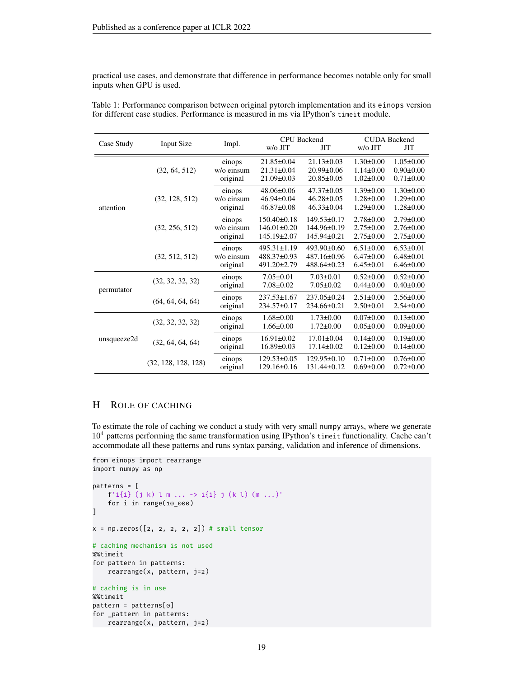practical use cases, and demonstrate that difference in performance becomes notable only for small inputs when GPU is used.

| Case Study  | <b>Input Size</b>   | Impl.                            | <b>CPU</b> Backend<br>$w/o$ JIT<br>ЛT                       |                                                          | <b>CUDA Backend</b><br>w/o JIT<br><b>JIT</b>          |                                                       |
|-------------|---------------------|----------------------------------|-------------------------------------------------------------|----------------------------------------------------------|-------------------------------------------------------|-------------------------------------------------------|
|             | (32, 64, 512)       | einops<br>w/o einsum<br>original | $21.85 \pm 0.04$<br>$21.31 \pm 0.04$<br>$21.09 \pm 0.03$    | $21.13 \pm 0.03$<br>20.99±0.06<br>$20.85 \pm 0.05$       | $1.30 \pm 0.00$<br>$1.14 \pm 0.00$<br>$1.02 \pm 0.00$ | $1.05 \pm 0.00$<br>$0.90 \pm 0.00$<br>$0.71 \pm 0.00$ |
| attention   | (32, 128, 512)      | einops<br>w/o einsum<br>original | $48.06 \pm 0.06$<br>$46.94 \pm 0.04$<br>$46.87 \pm 0.08$    | $47.37 \pm 0.05$<br>$46.28 \pm 0.05$<br>$46.33 \pm 0.04$ | $1.39 \pm 0.00$<br>$1.28 \pm 0.00$<br>$1.29 \pm 0.00$ | $1.30 \pm 0.00$<br>$1.29 \pm 0.00$<br>$1.28 \pm 0.00$ |
|             | (32, 256, 512)      | einops<br>w/o einsum<br>original | $150.40 \pm 0.18$<br>$146.01 \pm 0.20$<br>$145.19 \pm 2.07$ | $149.53 \pm 0.17$<br>144.96±0.19<br>$145.94 \pm 0.21$    | $2.78 \pm 0.00$<br>$2.75 \pm 0.00$<br>$2.75 \pm 0.00$ | $2.79 \pm 0.00$<br>$2.76 \pm 0.00$<br>$2.75 \pm 0.00$ |
|             | (32, 512, 512)      | einops<br>w/o einsum<br>original | $495.31 \pm 1.19$<br>$488.37\pm0.93$<br>491.20±2.79         | $493.90 \pm 0.60$<br>487.16±0.96<br>$488.64 \pm 0.23$    | $6.51 \pm 0.00$<br>$6.47 \pm 0.00$<br>$6.45 \pm 0.01$ | $6.53 \pm 0.01$<br>$6.48 \pm 0.01$<br>$6.46 \pm 0.00$ |
| permutator  | (32, 32, 32, 32)    | einops<br>original               | $7.05 \pm 0.01$<br>$7.08 \pm 0.02$                          | $7.03 \pm 0.01$<br>$7.05 \pm 0.02$                       | $0.52 \pm 0.00$<br>$0.44 \pm 0.00$                    | $0.52 \pm 0.00$<br>$0.40 \pm 0.00$                    |
|             | (64, 64, 64, 64)    | einops<br>original               | $237.53 \pm 1.67$<br>234.57±0.17                            | $237.05 \pm 0.24$<br>234.66±0.21                         | $2.51 \pm 0.00$<br>$2.50 \pm 0.01$                    | $2.56 \pm 0.00$<br>$2.54 \pm 0.00$                    |
|             | (32, 32, 32, 32)    | einops<br>original               | $1.68 \pm 0.00$<br>$1.66 \pm 0.00$                          | $1.73 \pm 0.00$<br>$1.72 \pm 0.00$                       | $0.07 \pm 0.00$<br>$0.05 \pm 0.00$                    | $0.13 \pm 0.00$<br>$0.09 \pm 0.00$                    |
| unsqueeze2d | (32, 64, 64, 64)    | einops<br>original               | $16.91 \pm 0.02$<br>$16.89 \pm 0.03$                        | $17.01 \pm 0.04$<br>$17.14 \pm 0.02$                     | $0.14 \pm 0.00$<br>$0.12 \pm 0.00$                    | $0.19 \pm 0.00$<br>$0.14 \pm 0.00$                    |
|             | (32, 128, 128, 128) | einops<br>original               | $129.53 \pm 0.05$<br>$129.16\pm0.16$                        | $129.95 \pm 0.10$<br>$131.44 \pm 0.12$                   | $0.71 \pm 0.00$<br>$0.69 \pm 0.00$                    | $0.76 \pm 0.00$<br>$0.72 \pm 0.00$                    |

<span id="page-18-1"></span>Table 1: Performance comparison between original pytorch implementation and its einops version for different case studies. Performance is measured in ms via IPython's timeit module.

# <span id="page-18-0"></span>H ROLE OF CACHING

To estimate the role of caching we conduct a study with very small numpy arrays, where we generate  $10<sup>4</sup>$  patterns performing the same transformation using IPython's timeit functionality. Cache can't accommodate all these patterns and runs syntax parsing, validation and inference of dimensions.

```
from einops import rearrange
import numpy as np
patterns = [
    f'i{i} (j k) l m ... -> i{i} j (k l) (m ...)'
   for i in range(10_000)
]
x = np{\text{.}zeros}([2, 2, 2, 2, 2]) # small tensor
# caching mechanism is not used
%%timeit
for pattern in patterns:
   rearrange(x, pattern, j=2)
# caching is in use
%%timeit
pattern = patterns[0]
for _pattern in patterns:
```
rearrange(x, pattern, j=2)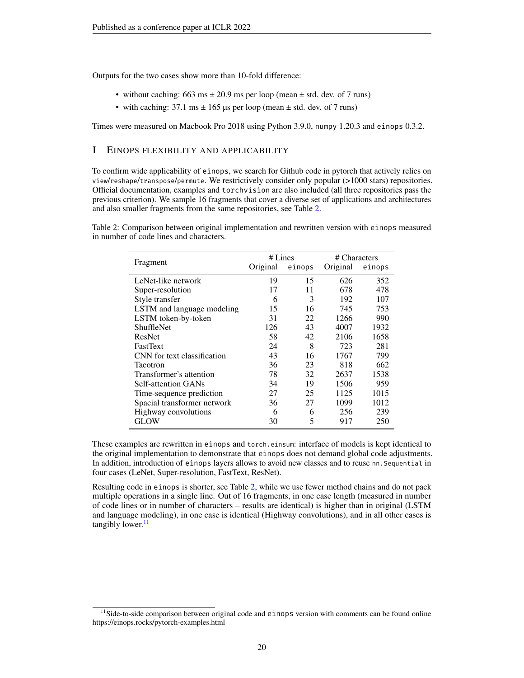Outputs for the two cases show more than 10-fold difference:

- without caching: 663 ms  $\pm$  20.9 ms per loop (mean  $\pm$  std. dev. of 7 runs)
- with caching:  $37.1 \text{ ms} \pm 165 \text{ }\mu\text{s}$  per loop (mean  $\pm$  std. dev. of 7 runs)

Times were measured on Macbook Pro 2018 using Python 3.9.0, numpy 1.20.3 and einops 0.3.2.

# <span id="page-19-0"></span>I EINOPS FLEXIBILITY AND APPLICABILITY

To confirm wide applicability of einops, we search for Github code in pytorch that actively relies on view/reshape/transpose/permute. We restrictively consider only popular (>1000 stars) repositories. Official documentation, examples and torchvision are also included (all three repositories pass the previous criterion). We sample 16 fragments that cover a diverse set of applications and architectures and also smaller fragments from the same repositories, see Table [2.](#page-19-1)

<span id="page-19-1"></span>Table 2: Comparison between original implementation and rewritten version with einops measured in number of code lines and characters.

|                             | # Lines  |        | # Characters |        |
|-----------------------------|----------|--------|--------------|--------|
| Fragment                    | Original | einops | Original     | einops |
| LeNet-like network          | 19       | 15     | 626          | 352    |
| Super-resolution            | 17       | 11     | 678          | 478    |
| Style transfer              | 6        | 3      | 192          | 107    |
| LSTM and language modeling  | 15       | 16     | 745          | 753    |
| LSTM token-by-token         | 31       | 22     | 1266         | 990    |
| <b>ShuffleNet</b>           | 126      | 43     | 4007         | 1932   |
| ResNet                      | 58       | 42     | 2106         | 1658   |
| <b>FastText</b>             | 24       | 8      | 723          | 281    |
| CNN for text classification | 43       | 16     | 1767         | 799    |
| Tacotron                    | 36       | 23     | 818          | 662    |
| Transformer's attention     | 78       | 32     | 2637         | 1538   |
| Self-attention GANs         | 34       | 19     | 1506         | 959    |
| Time-sequence prediction    | 27       | 25     | 1125         | 1015   |
| Spacial transformer network | 36       | 27     | 1099         | 1012   |
| Highway convolutions        | 6        | 6      | 256          | 239    |
| <b>GLOW</b>                 | 30       | 5      | 917          | 250    |

These examples are rewritten in einops and torch.einsum: interface of models is kept identical to the original implementation to demonstrate that einops does not demand global code adjustments. In addition, introduction of einops layers allows to avoid new classes and to reuse nn.Sequential in four cases (LeNet, Super-resolution, FastText, ResNet).

Resulting code in einops is shorter, see Table [2,](#page-19-1) while we use fewer method chains and do not pack multiple operations in a single line. Out of 16 fragments, in one case length (measured in number of code lines or in number of characters – results are identical) is higher than in original (LSTM and language modeling), in one case is identical (Highway convolutions), and in all other cases is tangibly lower. $11$ 

<span id="page-19-2"></span> $<sup>11</sup>$  Side-to-side comparison between original code and  $e$  inops version with comments can be found online</sup> https://einops.rocks/pytorch-examples.html